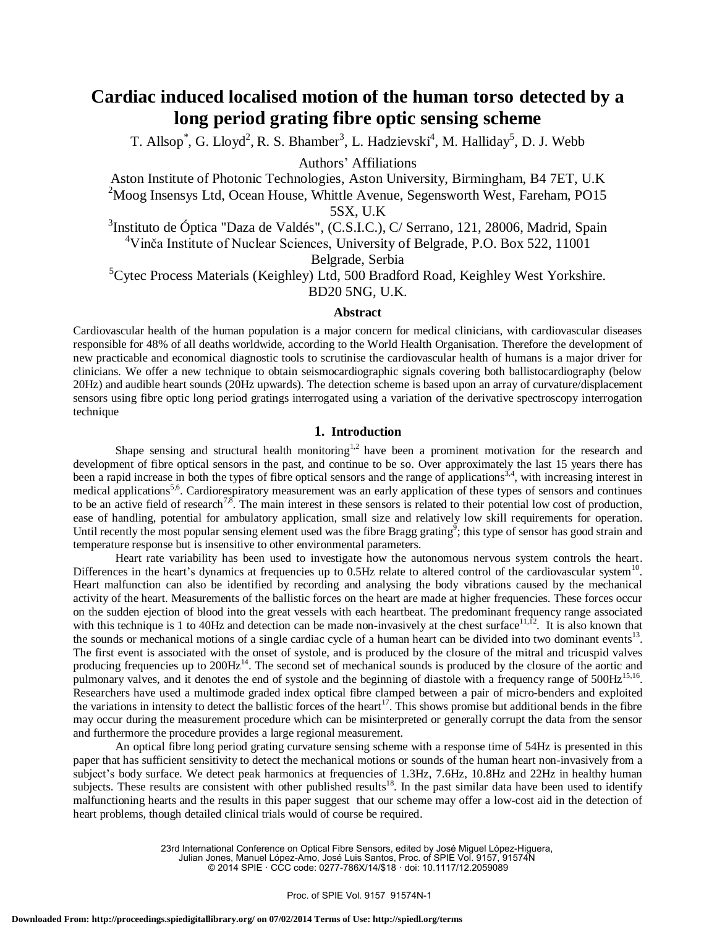# **Cardiac induced localised motion of the human torso detected by a long period grating fibre optic sensing scheme**

T. Allsop<sup>\*</sup>, G. Lloyd<sup>2</sup>, R. S. Bhamber<sup>3</sup>, L. Hadzievski<sup>4</sup>, M. Halliday<sup>5</sup>, D. J. Webb

Authors' Affiliations

Aston Institute of Photonic Technologies, Aston University, Birmingham, B4 7ET, U.K  $2^2$ Moog Insensys Ltd, Ocean House, Whittle Avenue, Segensworth West, Fareham, PO15 5SX, U.K

<sup>3</sup>Instituto de Óptica "Daza de Valdés", (C.S.I.C.), C/ Serrano, 121, 28006, Madrid, Spain <sup>4</sup>Vinča Institute of Nuclear Sciences, University of Belgrade, P.O. Box 522, 11001

Belgrade, Serbia

 ${}^{5}$ Cytec Process Materials (Keighley) Ltd, 500 Bradford Road, Keighley West Yorkshire. BD20 5NG, U.K.

### **Abstract**

Cardiovascular health of the human population is a major concern for medical clinicians, with cardiovascular diseases responsible for 48% of all deaths worldwide, according to the World Health Organisation. Therefore the development of new practicable and economical diagnostic tools to scrutinise the cardiovascular health of humans is a major driver for clinicians. We offer a new technique to obtain seismocardiographic signals covering both ballistocardiography (below 20Hz) and audible heart sounds (20Hz upwards). The detection scheme is based upon an array of curvature/displacement sensors using fibre optic long period gratings interrogated using a variation of the derivative spectroscopy interrogation technique

# **1. Introduction**

Shape sensing and structural health monitoring<sup>1,2</sup> have been a prominent motivation for the research and development of fibre optical sensors in the past, and continue to be so. Over approximately the last 15 years there has been a rapid increase in both the types of fibre optical sensors and the range of applications<sup>3,4</sup>, with increasing interest in medical applications<sup>5,6</sup>. Cardiorespiratory measurement was an early application of these types of sensors and continues to be an active field of research<sup>7,8</sup>. The main interest in these sensors is related to their potential low cost of production, ease of handling, potential for ambulatory application, small size and relatively low skill requirements for operation. Until recently the most popular sensing element used was the fibre Bragg grating<sup>9</sup>; this type of sensor has good strain and temperature response but is insensitive to other environmental parameters.

 Heart rate variability has been used to investigate how the autonomous nervous system controls the heart. Differences in the heart's dynamics at frequencies up to  $0.5$ Hz relate to altered control of the cardiovascular system $^{10}$ . Heart malfunction can also be identified by recording and analysing the body vibrations caused by the mechanical activity of the heart. Measurements of the ballistic forces on the heart are made at higher frequencies. These forces occur on the sudden ejection of blood into the great vessels with each heartbeat. The predominant frequency range associated with this technique is 1 to 40Hz and detection can be made non-invasively at the chest surface  $1,1,12$ . It is also known that the sounds or mechanical motions of a single cardiac cycle of a human heart can be divided into two dominant events $^{13}$ . The first event is associated with the onset of systole, and is produced by the closure of the mitral and tricuspid valves producing frequencies up to  $200Hz^{14}$ . The second set of mechanical sounds is produced by the closure of the aortic and pulmonary valves, and it denotes the end of systole and the beginning of diastole with a frequency range of 500Hz<sup>15,16</sup>. Researchers have used a multimode graded index optical fibre clamped between a pair of micro-benders and exploited the variations in intensity to detect the ballistic forces of the heart<sup>17</sup>. This shows promise but additional bends in the fibre may occur during the measurement procedure which can be misinterpreted or generally corrupt the data from the sensor and furthermore the procedure provides a large regional measurement.

 An optical fibre long period grating curvature sensing scheme with a response time of 54Hz is presented in this paper that has sufficient sensitivity to detect the mechanical motions or sounds of the human heart non-invasively from a subject's body surface. We detect peak harmonics at frequencies of 1.3Hz, 7.6Hz, 10.8Hz and 22Hz in healthy human subjects. These results are consistent with other published results<sup>18</sup>. In the past similar data have been used to identify malfunctioning hearts and the results in this paper suggest that our scheme may offer a low-cost aid in the detection of heart problems, though detailed clinical trials would of course be required.

23rd International Conference on Optical Fibre Sensors, edited by José Miguel López-Higuera, Julian Jones, Manuel López-Amo, José Luis Santos, Proc. of SPIE Vol. 9157, 91574N

© 2014 SPIE · CCC code: 0277-786X/14/\$18 · doi: 10.1117/12.2059089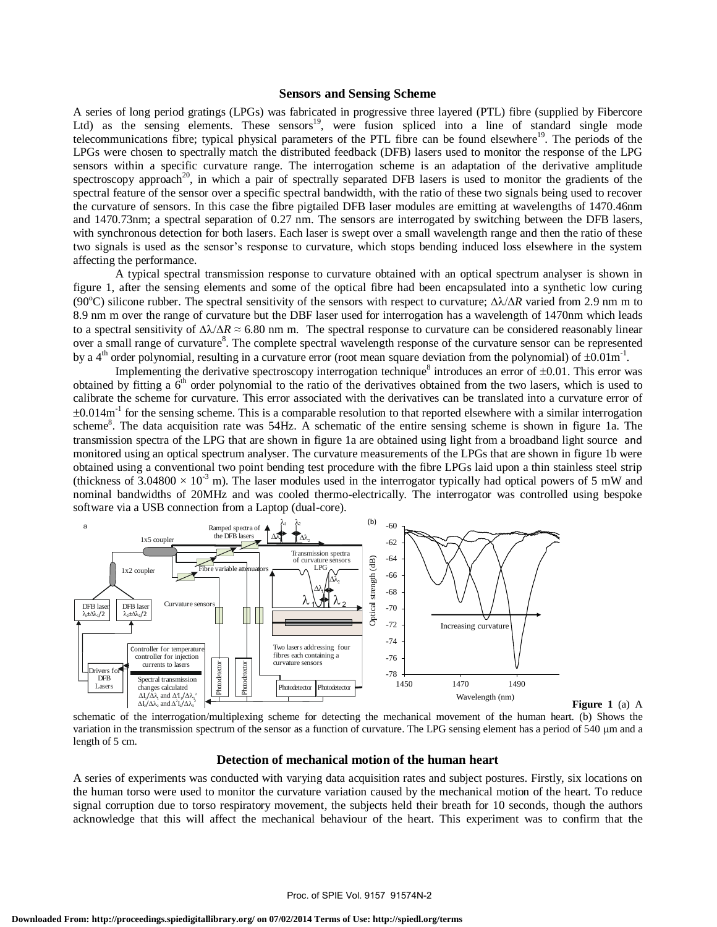#### **Sensors and Sensing Scheme**

A series of long period gratings (LPGs) was fabricated in progressive three layered (PTL) fibre (supplied by Fibercore Ltd) as the sensing elements. These sensors<sup>19</sup>, were fusion spliced into a line of standard single mode telecommunications fibre; typical physical parameters of the PTL fibre can be found elsewhere<sup>19</sup>. The periods of the LPGs were chosen to spectrally match the distributed feedback (DFB) lasers used to monitor the response of the LPG sensors within a specific curvature range. The interrogation scheme is an adaptation of the derivative amplitude spectroscopy approach<sup>20</sup>, in which a pair of spectrally separated DFB lasers is used to monitor the gradients of the spectral feature of the sensor over a specific spectral bandwidth, with the ratio of these two signals being used to recover the curvature of sensors. In this case the fibre pigtailed DFB laser modules are emitting at wavelengths of 1470.46nm and 1470.73nm; a spectral separation of 0.27 nm. The sensors are interrogated by switching between the DFB lasers, with synchronous detection for both lasers. Each laser is swept over a small wavelength range and then the ratio of these two signals is used as the sensor's response to curvature, which stops bending induced loss elsewhere in the system affecting the performance.

A typical spectral transmission response to curvature obtained with an optical spectrum analyser is shown in figure 1, after the sensing elements and some of the optical fibre had been encapsulated into a synthetic low curing (90<sup>o</sup>C) silicone rubber. The spectral sensitivity of the sensors with respect to curvature;  $\Delta\lambda/\Delta R$  varied from 2.9 nm m to 8.9 nm m over the range of curvature but the DBF laser used for interrogation has a wavelength of 1470nm which leads to a spectral sensitivity of  $\Delta\lambda/\Delta R \approx 6.80$  nm m. The spectral response to curvature can be considered reasonably linear over a small range of curvature<sup>8</sup>. The complete spectral wavelength response of the curvature sensor can be represented by a 4<sup>th</sup> order polynomial, resulting in a curvature error (root mean square deviation from the polynomial) of  $\pm 0.01$ m<sup>-1</sup>.

Implementing the derivative spectroscopy interrogation technique<sup>8</sup> introduces an error of  $\pm 0.01$ . This error was obtained by fitting a  $6<sup>th</sup>$  order polynomial to the ratio of the derivatives obtained from the two lasers, which is used to calibrate the scheme for curvature. This error associated with the derivatives can be translated into a curvature error of  $\pm 0.014$ m<sup>-1</sup> for the sensing scheme. This is a comparable resolution to that reported elsewhere with a similar interrogation scheme<sup>8</sup>. The data acquisition rate was 54Hz. A schematic of the entire sensing scheme is shown in figure 1a. The transmission spectra of the LPG that are shown in figure 1a are obtained using light from a broadband light source and monitored using an optical spectrum analyser. The curvature measurements of the LPGs that are shown in figure 1b were obtained using a conventional two point bending test procedure with the fibre LPGs laid upon a thin stainless steel strip (thickness of 3.04800  $\times$  10<sup>-3</sup> m). The laser modules used in the interrogator typically had optical powers of 5 mW and nominal bandwidths of 20MHz and was cooled thermo-electrically. The interrogator was controlled using bespoke software via a USB connection from a Laptop (dual-core).



**Figure 1** (a) A schematic of the interrogation/multiplexing scheme for detecting the mechanical movement of the human heart. (b) Shows the

variation in the transmission spectrum of the sensor as a function of curvature. The LPG sensing element has a period of 540 µm and a length of 5 cm.

## **Detection of mechanical motion of the human heart**

A series of experiments was conducted with varying data acquisition rates and subject postures. Firstly, six locations on the human torso were used to monitor the curvature variation caused by the mechanical motion of the heart. To reduce signal corruption due to torso respiratory movement, the subjects held their breath for 10 seconds, though the authors acknowledge that this will affect the mechanical behaviour of the heart. This experiment was to confirm that the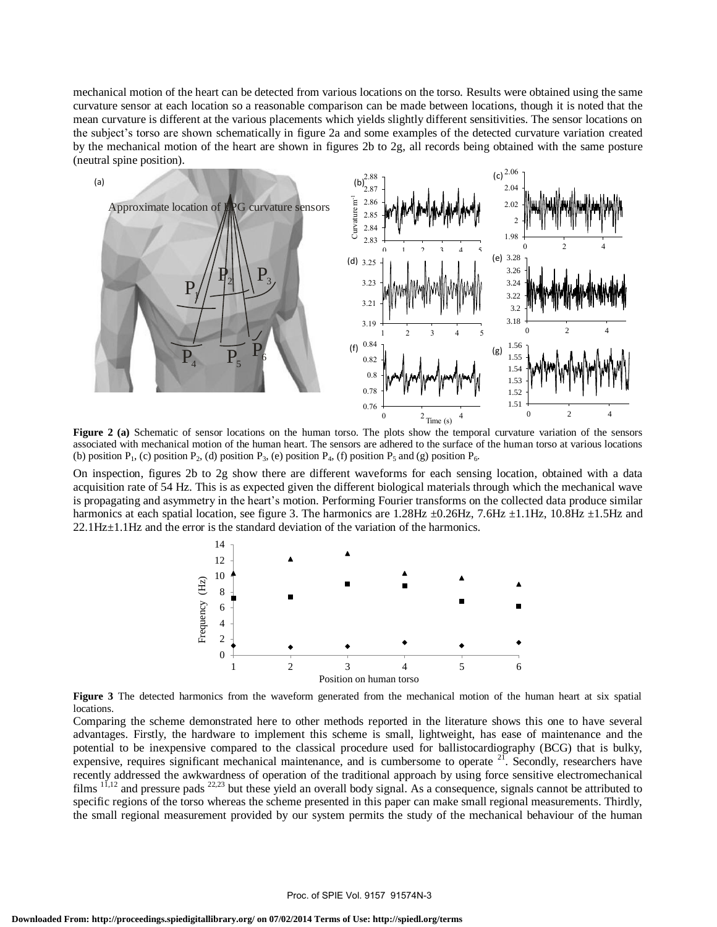mechanical motion of the heart can be detected from various locations on the torso. Results were obtained using the same curvature sensor at each location so a reasonable comparison can be made between locations, though it is noted that the mean curvature is different at the various placements which yields slightly different sensitivities. The sensor locations on the subject's torso are shown schematically in figure 2a and some examples of the detected curvature variation created by the mechanical motion of the heart are shown in figures 2b to 2g, all records being obtained with the same posture (neutral spine position).



**Figure 2 (a)** Schematic of sensor locations on the human torso. The plots show the temporal curvature variation of the sensors associated with mechanical motion of the human heart. The sensors are adhered to the surface of the human torso at various locations (b) position  $P_1$ , (c) position  $P_2$ , (d) position  $P_3$ , (e) position  $P_4$ , (f) position  $P_5$  and (g) position  $P_6$ .

On inspection, figures 2b to 2g show there are different waveforms for each sensing location, obtained with a data acquisition rate of 54 Hz. This is as expected given the different biological materials through which the mechanical wave is propagating and asymmetry in the heart's motion. Performing Fourier transforms on the collected data produce similar harmonics at each spatial location, see figure 3. The harmonics are 1.28Hz  $\pm$ 0.26Hz, 7.6Hz  $\pm$ 1.1Hz, 10.8Hz  $\pm$ 1.5Hz and  $22.1\text{Hz} \pm 1.1\text{Hz}$  and the error is the standard deviation of the variation of the harmonics.



**Figure 3** The detected harmonics from the waveform generated from the mechanical motion of the human heart at six spatial locations.

Comparing the scheme demonstrated here to other methods reported in the literature shows this one to have several advantages. Firstly, the hardware to implement this scheme is small, lightweight, has ease of maintenance and the potential to be inexpensive compared to the classical procedure used for ballistocardiography (BCG) that is bulky, expensive, requires significant mechanical maintenance, and is cumbersome to operate  $2<sup>1</sup>$ . Secondly, researchers have recently addressed the awkwardness of operation of the traditional approach by using force sensitive electromechanical films  $1^{1,12}$  and pressure pads  $2^{2,23}$  but these yield an overall body signal. As a consequence, signals cannot be attributed to specific regions of the torso whereas the scheme presented in this paper can make small regional measurements. Thirdly, the small regional measurement provided by our system permits the study of the mechanical behaviour of the human